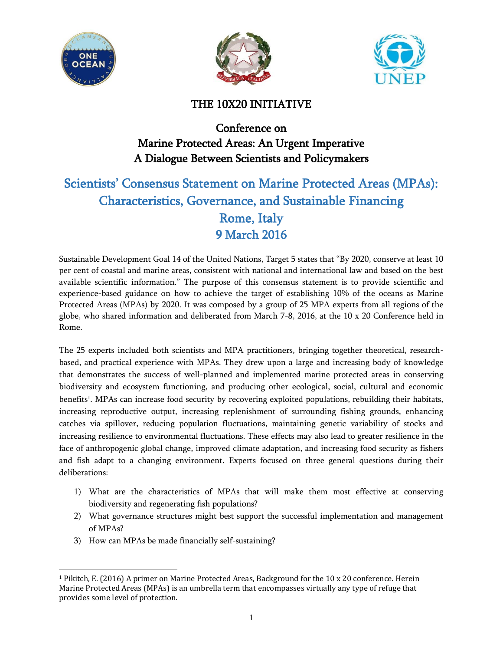





# THE 10X20 INITIATIVE

# Conference on Marine Protected Areas: An Urgent Imperative A Dialogue Between Scientists and Policymakers

# Scientists' Consensus Statement on Marine Protected Areas (MPAs): Characteristics, Governance, and Sustainable Financing Rome, Italy 9 March 2016

Sustainable Development Goal 14 of the United Nations, Target 5 states that "By 2020, conserve at least 10 per cent of coastal and marine areas, consistent with national and international law and based on the best available scientific information." The purpose of this consensus statement is to provide scientific and experience-based guidance on how to achieve the target of establishing 10% of the oceans as Marine Protected Areas (MPAs) by 2020. It was composed by a group of 25 MPA experts from all regions of the globe, who shared information and deliberated from March 7-8, 2016, at the 10 x 20 Conference held in Rome.

The 25 experts included both scientists and MPA practitioners, bringing together theoretical, researchbased, and practical experience with MPAs. They drew upon a large and increasing body of knowledge that demonstrates the success of well-planned and implemented marine protected areas in conserving biodiversity and ecosystem functioning, and producing other ecological, social, cultural and economic benefits<sup>1</sup>. MPAs can increase food security by recovering exploited populations, rebuilding their habitats, increasing reproductive output, increasing replenishment of surrounding fishing grounds, enhancing catches via spillover, reducing population fluctuations, maintaining genetic variability of stocks and increasing resilience to environmental fluctuations. These effects may also lead to greater resilience in the face of anthropogenic global change, improved climate adaptation, and increasing food security as fishers and fish adapt to a changing environment. Experts focused on three general questions during their deliberations:

- 1) What are the characteristics of MPAs that will make them most effective at conserving biodiversity and regenerating fish populations?
- 2) What governance structures might best support the successful implementation and management of MPAs?
- 3) How can MPAs be made financially self-sustaining?

l <sup>1</sup> Pikitch, E. (2016) A primer on Marine Protected Areas, Background for the 10 x 20 conference. Herein Marine Protected Areas (MPAs) is an umbrella term that encompasses virtually any type of refuge that provides some level of protection.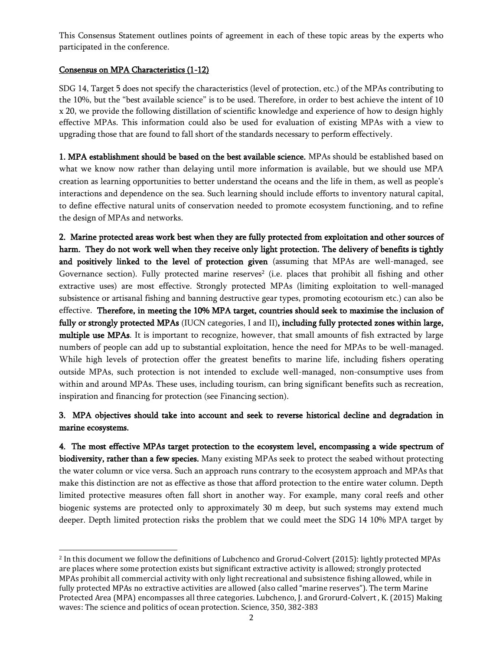This Consensus Statement outlines points of agreement in each of these topic areas by the experts who participated in the conference.

## Consensus on MPA Characteristics (1-12)

SDG 14, Target 5 does not specify the characteristics (level of protection, etc.) of the MPAs contributing to the 10%, but the "best available science" is to be used. Therefore, in order to best achieve the intent of 10 x 20, we provide the following distillation of scientific knowledge and experience of how to design highly effective MPAs. This information could also be used for evaluation of existing MPAs with a view to upgrading those that are found to fall short of the standards necessary to perform effectively.

1. MPA establishment should be based on the best available science. MPAs should be established based on what we know now rather than delaying until more information is available, but we should use MPA creation as learning opportunities to better understand the oceans and the life in them, as well as people's interactions and dependence on the sea. Such learning should include efforts to inventory natural capital, to define effective natural units of conservation needed to promote ecosystem functioning, and to refine the design of MPAs and networks.

2. Marine protected areas work best when they are fully protected from exploitation and other sources of harm. They do not work well when they receive only light protection. The delivery of benefits is tightly and positively linked to the level of protection given (assuming that MPAs are well-managed, see Governance section). Fully protected marine reserves<sup>2</sup> (i.e. places that prohibit all fishing and other extractive uses) are most effective. Strongly protected MPAs (limiting exploitation to well-managed subsistence or artisanal fishing and banning destructive gear types, promoting ecotourism etc.) can also be effective. Therefore, in meeting the 10% MPA target, countries should seek to maximise the inclusion of fully or strongly protected MPAs (IUCN categories, I and II), including fully protected zones within large, multiple use MPAs. It is important to recognize, however, that small amounts of fish extracted by large numbers of people can add up to substantial exploitation, hence the need for MPAs to be well-managed. While high levels of protection offer the greatest benefits to marine life, including fishers operating outside MPAs, such protection is not intended to exclude well-managed, non-consumptive uses from within and around MPAs. These uses, including tourism, can bring significant benefits such as recreation, inspiration and financing for protection (see Financing section).

# 3. MPA objectives should take into account and seek to reverse historical decline and degradation in marine ecosystems.

4. The most effective MPAs target protection to the ecosystem level, encompassing a wide spectrum of biodiversity, rather than a few species. Many existing MPAs seek to protect the seabed without protecting the water column or vice versa. Such an approach runs contrary to the ecosystem approach and MPAs that make this distinction are not as effective as those that afford protection to the entire water column. Depth limited protective measures often fall short in another way. For example, many coral reefs and other biogenic systems are protected only to approximately 30 m deep, but such systems may extend much deeper. Depth limited protection risks the problem that we could meet the SDG 14 10% MPA target by

 $\overline{a}$ <sup>2</sup> In this document we follow the definitions of Lubchenco and Grorud-Colvert (2015): lightly protected MPAs are places where some protection exists but significant extractive activity is allowed; strongly protected MPAs prohibit all commercial activity with only light recreational and subsistence fishing allowed, while in fully protected MPAs no extractive activities are allowed (also called "marine reserves"). The term Marine Protected Area (MPA) encompasses all three categories. Lubchenco, J. and Grorurd-Colvert , K. (2015) Making waves: The science and politics of ocean protection. Science, 350, 382-383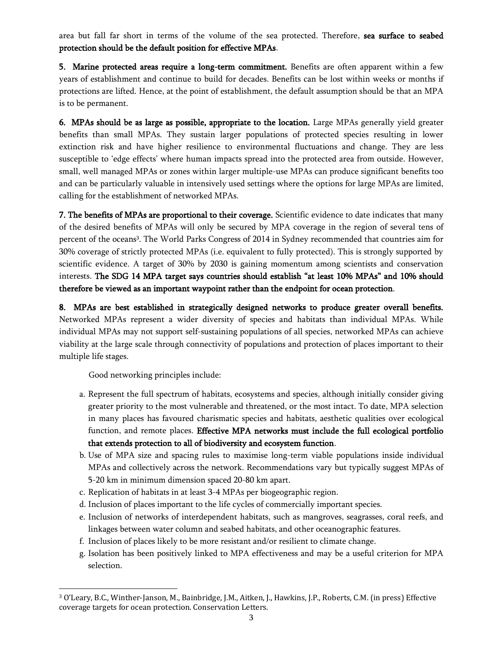area but fall far short in terms of the volume of the sea protected. Therefore, sea surface to seabed protection should be the default position for effective MPAs.

5. Marine protected areas require a long-term commitment. Benefits are often apparent within a few years of establishment and continue to build for decades. Benefits can be lost within weeks or months if protections are lifted. Hence, at the point of establishment, the default assumption should be that an MPA is to be permanent.

6. MPAs should be as large as possible, appropriate to the location. Large MPAs generally yield greater benefits than small MPAs. They sustain larger populations of protected species resulting in lower extinction risk and have higher resilience to environmental fluctuations and change. They are less susceptible to 'edge effects' where human impacts spread into the protected area from outside. However, small, well managed MPAs or zones within larger multiple-use MPAs can produce significant benefits too and can be particularly valuable in intensively used settings where the options for large MPAs are limited, calling for the establishment of networked MPAs.

7. The benefits of MPAs are proportional to their coverage. Scientific evidence to date indicates that many of the desired benefits of MPAs will only be secured by MPA coverage in the region of several tens of percent of the oceans<sup>3</sup>. The World Parks Congress of 2014 in Sydney recommended that countries aim for 30% coverage of strictly protected MPAs (i.e. equivalent to fully protected). This is strongly supported by scientific evidence. A target of 30% by 2030 is gaining momentum among scientists and conservation interests. The SDG 14 MPA target says countries should establish "at least 10% MPAs" and 10% should therefore be viewed as an important waypoint rather than the endpoint for ocean protection.

8. MPAs are best established in strategically designed networks to produce greater overall benefits. Networked MPAs represent a wider diversity of species and habitats than individual MPAs. While individual MPAs may not support self-sustaining populations of all species, networked MPAs can achieve viability at the large scale through connectivity of populations and protection of places important to their multiple life stages.

Good networking principles include:

 $\overline{\phantom{0}}$ 

- a. Represent the full spectrum of habitats, ecosystems and species, although initially consider giving greater priority to the most vulnerable and threatened, or the most intact. To date, MPA selection in many places has favoured charismatic species and habitats, aesthetic qualities over ecological function, and remote places. Effective MPA networks must include the full ecological portfolio that extends protection to all of biodiversity and ecosystem function.
- b. Use of MPA size and spacing rules to maximise long-term viable populations inside individual MPAs and collectively across the network. Recommendations vary but typically suggest MPAs of 5-20 km in minimum dimension spaced 20-80 km apart.
- c. Replication of habitats in at least 3-4 MPAs per biogeographic region.
- d. Inclusion of places important to the life cycles of commercially important species.
- e. Inclusion of networks of interdependent habitats, such as mangroves, seagrasses, coral reefs, and linkages between water column and seabed habitats, and other oceanographic features.
- f. Inclusion of places likely to be more resistant and/or resilient to climate change.
- g. Isolation has been positively linked to MPA effectiveness and may be a useful criterion for MPA selection.

<sup>3</sup> O'Leary, B.C., Winther-Janson, M., Bainbridge, J.M., Aitken, J., Hawkins, J.P., Roberts, C.M. (in press) Effective coverage targets for ocean protection. Conservation Letters.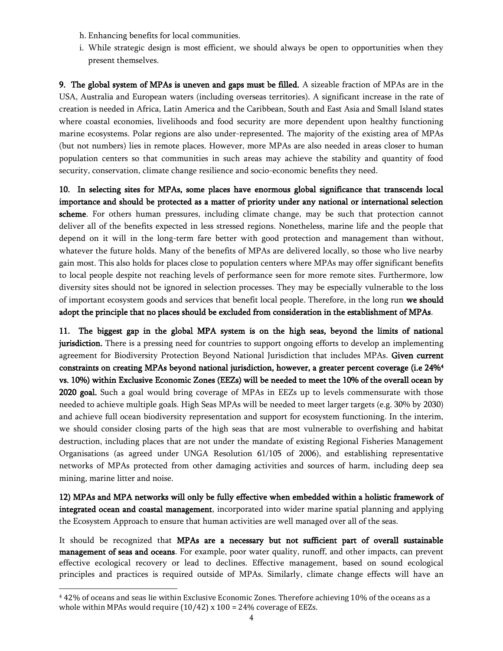- h. Enhancing benefits for local communities.
- i. While strategic design is most efficient, we should always be open to opportunities when they present themselves.

9. The global system of MPAs is uneven and gaps must be filled. A sizeable fraction of MPAs are in the USA, Australia and European waters (including overseas territories). A significant increase in the rate of creation is needed in Africa, Latin America and the Caribbean, South and East Asia and Small Island states where coastal economies, livelihoods and food security are more dependent upon healthy functioning marine ecosystems. Polar regions are also under-represented. The majority of the existing area of MPAs (but not numbers) lies in remote places. However, more MPAs are also needed in areas closer to human population centers so that communities in such areas may achieve the stability and quantity of food security, conservation, climate change resilience and socio-economic benefits they need.

10. In selecting sites for MPAs, some places have enormous global significance that transcends local importance and should be protected as a matter of priority under any national or international selection scheme. For others human pressures, including climate change, may be such that protection cannot deliver all of the benefits expected in less stressed regions. Nonetheless, marine life and the people that depend on it will in the long-term fare better with good protection and management than without, whatever the future holds. Many of the benefits of MPAs are delivered locally, so those who live nearby gain most. This also holds for places close to population centers where MPAs may offer significant benefits to local people despite not reaching levels of performance seen for more remote sites. Furthermore, low diversity sites should not be ignored in selection processes. They may be especially vulnerable to the loss of important ecosystem goods and services that benefit local people. Therefore, in the long run we should adopt the principle that no places should be excluded from consideration in the establishment of MPAs.

11. The biggest gap in the global MPA system is on the high seas, beyond the limits of national jurisdiction. There is a pressing need for countries to support ongoing efforts to develop an implementing agreement for Biodiversity Protection Beyond National Jurisdiction that includes MPAs. Given current constraints on creating MPAs beyond national jurisdiction, however, a greater percent coverage (i.e 24%<sup>4</sup> vs. 10%) within Exclusive Economic Zones (EEZs) will be needed to meet the 10% of the overall ocean by 2020 goal. Such a goal would bring coverage of MPAs in EEZs up to levels commensurate with those needed to achieve multiple goals. High Seas MPAs will be needed to meet larger targets (e.g. 30% by 2030) and achieve full ocean biodiversity representation and support for ecosystem functioning. In the interim, we should consider closing parts of the high seas that are most vulnerable to overfishing and habitat destruction, including places that are not under the mandate of existing Regional Fisheries Management Organisations (as agreed under UNGA Resolution 61/105 of 2006), and establishing representative networks of MPAs protected from other damaging activities and sources of harm, including deep sea mining, marine litter and noise.

12) MPAs and MPA networks will only be fully effective when embedded within a holistic framework of integrated ocean and coastal management, incorporated into wider marine spatial planning and applying the Ecosystem Approach to ensure that human activities are well managed over all of the seas.

It should be recognized that MPAs are a necessary but not sufficient part of overall sustainable management of seas and oceans. For example, poor water quality, runoff, and other impacts, can prevent effective ecological recovery or lead to declines. Effective management, based on sound ecological principles and practices is required outside of MPAs. Similarly, climate change effects will have an

 $\overline{\phantom{0}}$ 

<sup>4</sup> 42% of oceans and seas lie within Exclusive Economic Zones. Therefore achieving 10% of the oceans as a whole within MPAs would require  $(10/42)$  x  $100 = 24$ % coverage of EEZs.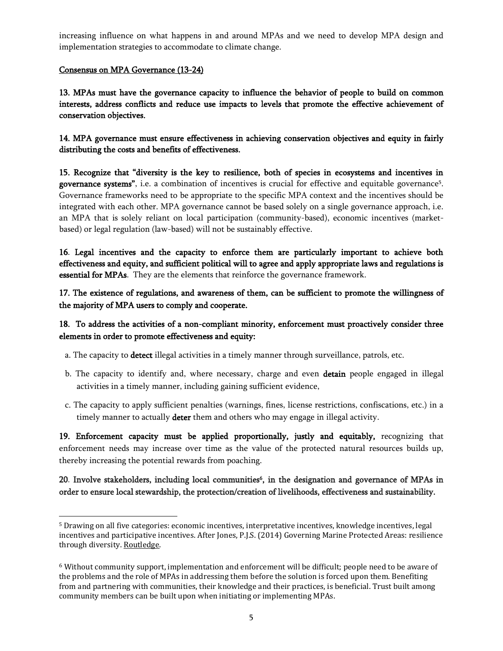increasing influence on what happens in and around MPAs and we need to develop MPA design and implementation strategies to accommodate to climate change.

#### Consensus on MPA Governance (13-24)

 $\overline{a}$ 

13. MPAs must have the governance capacity to influence the behavior of people to build on common interests, address conflicts and reduce use impacts to levels that promote the effective achievement of conservation objectives.

14. MPA governance must ensure effectiveness in achieving conservation objectives and equity in fairly distributing the costs and benefits of effectiveness.

15. Recognize that "diversity is the key to resilience, both of species in ecosystems and incentives in **governance systems"**, i.e. a combination of incentives is crucial for effective and equitable governance<sup>5</sup>. Governance frameworks need to be appropriate to the specific MPA context and the incentives should be integrated with each other. MPA governance cannot be based solely on a single governance approach, i.e. an MPA that is solely reliant on local participation (community-based), economic incentives (marketbased) or legal regulation (law-based) will not be sustainably effective.

16. Legal incentives and the capacity to enforce them are particularly important to achieve both effectiveness and equity, and sufficient political will to agree and apply appropriate laws and regulations is essential for MPAs. They are the elements that reinforce the governance framework.

17. The existence of regulations, and awareness of them, can be sufficient to promote the willingness of the majority of MPA users to comply and cooperate.

## 18. To address the activities of a non-compliant minority, enforcement must proactively consider three elements in order to promote effectiveness and equity:

- a. The capacity to detect illegal activities in a timely manner through surveillance, patrols, etc.
- b. The capacity to identify and, where necessary, charge and even detain people engaged in illegal activities in a timely manner, including gaining sufficient evidence,
- c. The capacity to apply sufficient penalties (warnings, fines, license restrictions, confiscations, etc.) in a timely manner to actually **deter** them and others who may engage in illegal activity.

19. Enforcement capacity must be applied proportionally, justly and equitably, recognizing that enforcement needs may increase over time as the value of the protected natural resources builds up, thereby increasing the potential rewards from poaching.

20. Involve stakeholders, including local communities<sup>6</sup>, in the designation and governance of MPAs in order to ensure local stewardship, the protection/creation of livelihoods, effectiveness and sustainability.

<sup>5</sup> Drawing on all five categories: economic incentives, interpretative incentives, knowledge incentives, legal incentives and participative incentives. After Jones, P.J.S. (2014) Governing Marine Protected Areas: resilience through diversity. [Routledge.](https://www.routledge.com/products/9781138679238)

<sup>6</sup> Without community support, implementation and enforcement will be difficult; people need to be aware of the problems and the role of MPAs in addressing them before the solution is forced upon them. Benefiting from and partnering with communities, their knowledge and their practices, is beneficial. Trust built among community members can be built upon when initiating or implementing MPAs.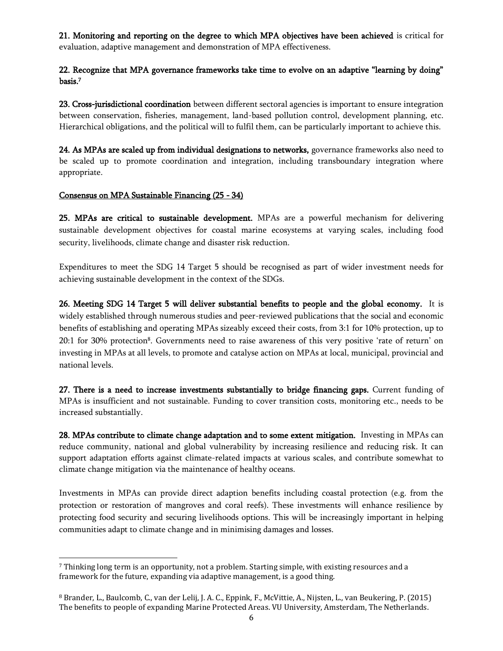21. Monitoring and reporting on the degree to which MPA objectives have been achieved is critical for evaluation, adaptive management and demonstration of MPA effectiveness.

## 22. Recognize that MPA governance frameworks take time to evolve on an adaptive "learning by doing" basis.<sup>7</sup>

23. Cross-jurisdictional coordination between different sectoral agencies is important to ensure integration between conservation, fisheries, management, land-based pollution control, development planning, etc. Hierarchical obligations, and the political will to fulfil them, can be particularly important to achieve this.

24. As MPAs are scaled up from individual designations to networks, governance frameworks also need to be scaled up to promote coordination and integration, including transboundary integration where appropriate.

#### Consensus on MPA Sustainable Financing (25 - 34)

25. MPAs are critical to sustainable development. MPAs are a powerful mechanism for delivering sustainable development objectives for coastal marine ecosystems at varying scales, including food security, livelihoods, climate change and disaster risk reduction.

Expenditures to meet the SDG 14 Target 5 should be recognised as part of wider investment needs for achieving sustainable development in the context of the SDGs.

26. Meeting SDG 14 Target 5 will deliver substantial benefits to people and the global economy. It is widely established through numerous studies and peer-reviewed publications that the social and economic benefits of establishing and operating MPAs sizeably exceed their costs, from 3:1 for 10% protection, up to 20:1 for 30% protection<sup>8</sup> . Governments need to raise awareness of this very positive 'rate of return' on investing in MPAs at all levels, to promote and catalyse action on MPAs at local, municipal, provincial and national levels.

27. There is a need to increase investments substantially to bridge financing gaps. Current funding of MPAs is insufficient and not sustainable. Funding to cover transition costs, monitoring etc., needs to be increased substantially.

28. MPAs contribute to climate change adaptation and to some extent mitigation. Investing in MPAs can reduce community, national and global vulnerability by increasing resilience and reducing risk. It can support adaptation efforts against climate-related impacts at various scales, and contribute somewhat to climate change mitigation via the maintenance of healthy oceans.

Investments in MPAs can provide direct adaption benefits including coastal protection (e.g. from the protection or restoration of mangroves and coral reefs). These investments will enhance resilience by protecting food security and securing livelihoods options. This will be increasingly important in helping communities adapt to climate change and in minimising damages and losses.

 $\overline{\phantom{0}}$ <sup>7</sup> Thinking long term is an opportunity, not a problem. Starting simple, with existing resources and a framework for the future, expanding via adaptive management, is a good thing.

<sup>8</sup> Brander, L., Baulcomb, C., van der Lelij, J. A. C., Eppink, F., McVittie, A., Nijsten, L., van Beukering, P. (2015) The benefits to people of expanding Marine Protected Areas. VU University, Amsterdam, The Netherlands.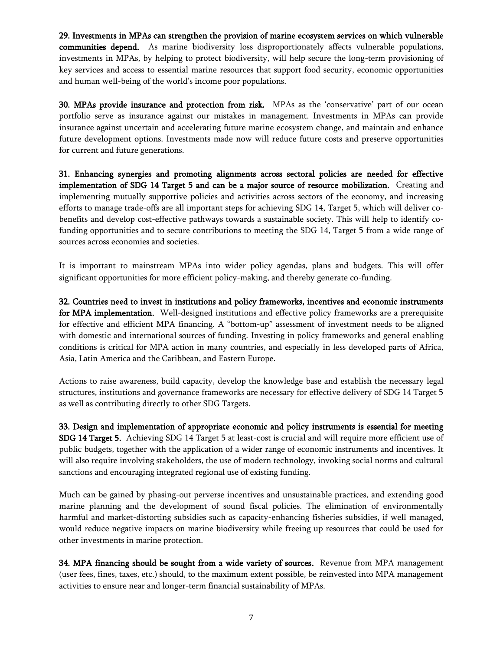29. Investments in MPAs can strengthen the provision of marine ecosystem services on which vulnerable

communities depend. As marine biodiversity loss disproportionately affects vulnerable populations, investments in MPAs, by helping to protect biodiversity, will help secure the long-term provisioning of key services and access to essential marine resources that support food security, economic opportunities and human well-being of the world's income poor populations.

30. MPAs provide insurance and protection from risk. MPAs as the 'conservative' part of our ocean portfolio serve as insurance against our mistakes in management. Investments in MPAs can provide insurance against uncertain and accelerating future marine ecosystem change, and maintain and enhance future development options. Investments made now will reduce future costs and preserve opportunities for current and future generations.

31. Enhancing synergies and promoting alignments across sectoral policies are needed for effective implementation of SDG 14 Target 5 and can be a major source of resource mobilization. Creating and implementing mutually supportive policies and activities across sectors of the economy, and increasing efforts to manage trade-offs are all important steps for achieving SDG 14, Target 5, which will deliver cobenefits and develop cost-effective pathways towards a sustainable society. This will help to identify cofunding opportunities and to secure contributions to meeting the SDG 14, Target 5 from a wide range of sources across economies and societies.

It is important to mainstream MPAs into wider policy agendas, plans and budgets. This will offer significant opportunities for more efficient policy-making, and thereby generate co-funding.

32. Countries need to invest in institutions and policy frameworks, incentives and economic instruments for MPA implementation. Well-designed institutions and effective policy frameworks are a prerequisite for effective and efficient MPA financing. A "bottom-up" assessment of investment needs to be aligned with domestic and international sources of funding. Investing in policy frameworks and general enabling conditions is critical for MPA action in many countries, and especially in less developed parts of Africa, Asia, Latin America and the Caribbean, and Eastern Europe.

Actions to raise awareness, build capacity, develop the knowledge base and establish the necessary legal structures, institutions and governance frameworks are necessary for effective delivery of SDG 14 Target 5 as well as contributing directly to other SDG Targets.

33. Design and implementation of appropriate economic and policy instruments is essential for meeting SDG 14 Target 5. Achieving SDG 14 Target 5 at least-cost is crucial and will require more efficient use of public budgets, together with the application of a wider range of economic instruments and incentives. It will also require involving stakeholders, the use of modern technology, invoking social norms and cultural sanctions and encouraging integrated regional use of existing funding.

Much can be gained by phasing-out perverse incentives and unsustainable practices, and extending good marine planning and the development of sound fiscal policies. The elimination of environmentally harmful and market-distorting subsidies such as capacity-enhancing fisheries subsidies, if well managed, would reduce negative impacts on marine biodiversity while freeing up resources that could be used for other investments in marine protection.

34. MPA financing should be sought from a wide variety of sources. Revenue from MPA management (user fees, fines, taxes, etc.) should, to the maximum extent possible, be reinvested into MPA management activities to ensure near and longer-term financial sustainability of MPAs.